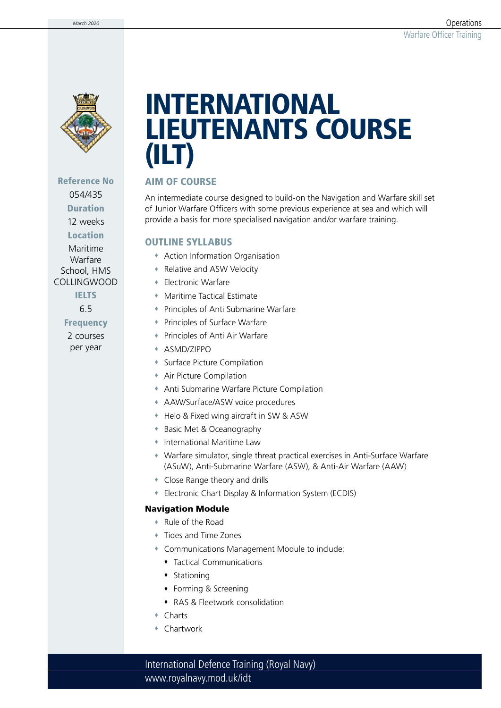

Reference No 054/435 Duration 12 weeks Location Maritime Warfare School, HMS COLLINGWOOD **IELTS** 6.5 **Frequency** 2 courses per year

# INTERNATIONAL LIEUTENANTS COURSE (ILT)

### AIM OF COURSE

An intermediate course designed to build-on the Navigation and Warfare skill set of Junior Warfare Officers with some previous experience at sea and which will provide a basis for more specialised navigation and/or warfare training.

#### OUTLINE SYLLABUS

- Action Information Organisation
- Relative and ASW Velocity
- Electronic Warfare
- Maritime Tactical Estimate
- Principles of Anti Submarine Warfare
- Principles of Surface Warfare
- Principles of Anti Air Warfare
- ASMD/ZIPPO
- Surface Picture Compilation
- Air Picture Compilation
- Anti Submarine Warfare Picture Compilation
- AAW/Surface/ASW voice procedures
- Helo & Fixed wing aircraft in SW & ASW
- ◆ Basic Met & Oceanography
- International Maritime Law
- Warfare simulator, single threat practical exercises in Anti-Surface Warfare (ASuW), Anti-Submarine Warfare (ASW), & Anti-Air Warfare (AAW)
- Close Range theory and drills
- Electronic Chart Display & Information System (ECDIS)

#### Navigation Module

- Rule of the Road
- Tides and Time Zones
- Communications Management Module to include:
	- Tactical Communications
	- $\bullet$  Stationing
	- Forming & Screening
	- RAS & Fleetwork consolidation
- Charts
- Chartwork

www.royalnavy.mod.uk/idt International Defence Training (Royal Navy)